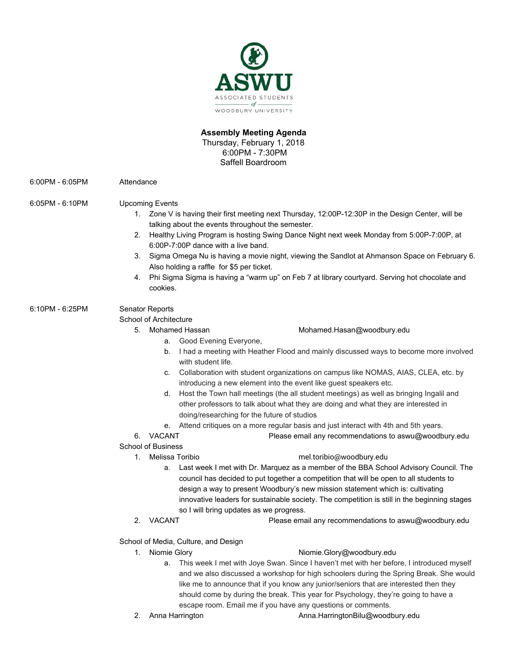

# **Assembly Meeting Agenda**  Thursday, February 1, 2018 6:00PM - 7:30PM Saffell Boardroom

6:00PM - 6:05PM Attendance

# 6:05PM - 6:10PM Upcoming Events

- 1. Zone V is having their first meeting next Thursday, 12:00P-12:30P in the Design Center, will be talking about the events throughout the semester.
- 2. Healthy Living Program is hosting Swing Dance Night next week Monday from 5:00P-7:00P, at 6:00P-7:00P dance with a live band.
- 3. Sigma Omega Nu is having a movie night, viewing the Sandlot at Ahmanson Space on February 6. Also holding a raffle for \$5 per ticket.
- 4. Phi Sigma Sigma is having a "warm up" on Feb 7 at library courtyard. Serving hot chocolate and cookies.

# 6:10PM - 6:25PM Senator Reports

School of Architecture

a. Good Evening Everyone,

- 5. Mohamed Hassan Mohamed.Hasan@woodbury.edu
	- b. I had a meeting with Heather Flood and mainly discussed ways to become more involved with student life.
	- c. Collaboration with student organizations on campus like NOMAS, AIAS, CLEA, etc. by introducing a new element into the event like guest speakers etc.
	- d. Host the Town hall meetings (the all student meetings) as well as bringing Ingalil and other professors to talk about what they are doing and what they are interested in doing/researching for the future of studios
	- e. Attend critiques on a more regular basis and just interact with 4th and 5th years.

6. VACANT Please email any recommendations to aswu@woodbury.edu

## School of Business

- 
- 1. Melissa Toribio mel.toribio@woodbury.edu
	- a. Last week I met with Dr. Marquez as a member of the BBA School Advisory Council. The council has decided to put together a competition that will be open to all students to design a way to present Woodbury's new mission statement which is: cultivating innovative leaders for sustainable society. The competition is still in the beginning stages so I will bring updates as we progress.
- 
- 2. VACANT Please email any recommendations to aswu@woodbury.edu

School of Media, Culture, and Design

## 1. Niomie Glory **Niomie.Glory@woodbury.edu**

- a. This week I met with Joye Swan. Since I haven't met with her before, I introduced myself and we also discussed a workshop for high schoolers during the Spring Break. She would like me to announce that if you know any junior/seniors that are interested then they should come by during the break. This year for Psychology, they're going to have a escape room. Email me if you have any questions or comments.
- 
- 2. Anna Harrington **[Anna.HarringtonBilu@woodbury.edu](mailto:Anna.HarringtonBilu@woodbury.edu)**
-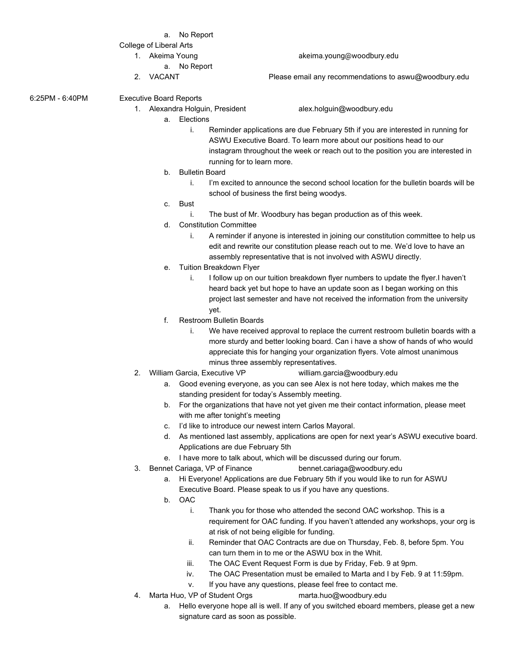#### a. No Report

### College of Liberal Arts

- - a. No Report
- 

## 1. Akeima Young [akeima.young@woodbury.edu](mailto:akeima.young@woodbury.edu)

2. VACANT Please email any recommendations to aswu@woodbury.edu

6:25PM - 6:40PM Executive Board Reports

- 1. Alexandra Holguin, President alex.holguin@woodbury.edu
	-

- a. Elections
	- i. Reminder applications are due February 5th if you are interested in running for ASWU Executive Board. To learn more about our positions head to our instagram throughout the week or reach out to the position you are interested in running for to learn more.
- b. Bulletin Board
	- i. I'm excited to announce the second school location for the bulletin boards will be school of business the first being woodys.
- c. Bust
	- i. The bust of Mr. Woodbury has began production as of this week.
- d. Constitution Committee
	- i. A reminder if anyone is interested in joining our constitution committee to help us edit and rewrite our constitution please reach out to me. We'd love to have an assembly representative that is not involved with ASWU directly.
- e. Tuition Breakdown Flyer
	- i. I follow up on our tuition breakdown flyer numbers to update the flyer.I haven't heard back yet but hope to have an update soon as I began working on this project last semester and have not received the information from the university yet.
- f. Restroom Bulletin Boards
	- i. We have received approval to replace the current restroom bulletin boards with a more sturdy and better looking board. Can i have a show of hands of who would appreciate this for hanging your organization flyers. Vote almost unanimous minus three assembly representatives.
- 2. William Garcia, Executive VP william.garcia@woodbury.edu
	- a. Good evening everyone, as you can see Alex is not here today, which makes me the standing president for today's Assembly meeting.
	- b. For the organizations that have not yet given me their contact information, please meet with me after tonight's meeting
	- c. I'd like to introduce our newest intern Carlos Mayoral.
	- d. As mentioned last assembly, applications are open for next year's ASWU executive board. Applications are due February 5th
	- e. I have more to talk about, which will be discussed during our forum.
- 3. Bennet Cariaga, VP of Finance bennet.cariaga@woodbury.edu
	- a. Hi Everyone! Applications are due February 5th if you would like to run for ASWU Executive Board. Please speak to us if you have any questions.
	- b. OAC
		- i. Thank you for those who attended the second OAC workshop. This is a requirement for OAC funding. If you haven't attended any workshops, your org is at risk of not being eligible for funding.
		- ii. Reminder that OAC Contracts are due on Thursday, Feb. 8, before 5pm. You can turn them in to me or the ASWU box in the Whit.
		- iii. The OAC Event Request Form is due by Friday, Feb. 9 at 9pm.
		- iv. The OAC Presentation must be emailed to Marta and I by Feb. 9 at 11:59pm.
		- v. If you have any questions, please feel free to contact me.
- 4. Marta Huo, VP of Student Orgs marta.huo@woodbury.edu
	- a. Hello everyone hope all is well. If any of you switched eboard members, please get a new signature card as soon as possible.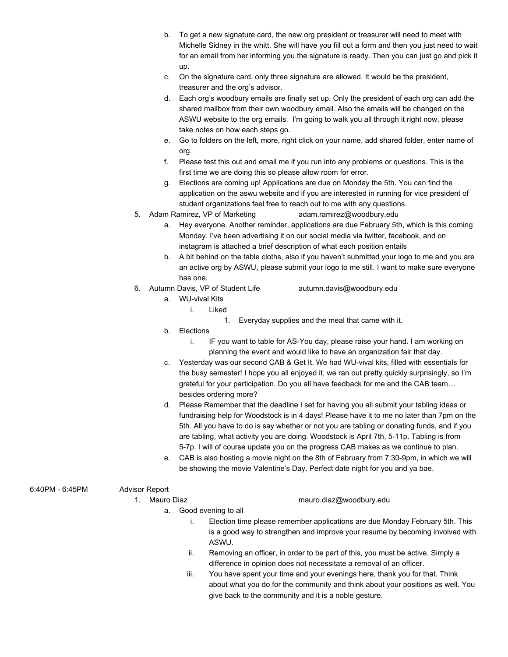- b. To get a new signature card, the new org president or treasurer will need to meet with Michelle Sidney in the whitt. She will have you fill out a form and then you just need to wait for an email from her informing you the signature is ready. Then you can just go and pick it up.
- c. On the signature card, only three signature are allowed. It would be the president, treasurer and the org's advisor.
- d. Each org's woodbury emails are finally set up. Only the president of each org can add the shared mailbox from their own woodbury email. Also the emails will be changed on the ASWU website to the org emails. I'm going to walk you all through it right now, please take notes on how each steps go.
- e. Go to folders on the left, more, right click on your name, add shared folder, enter name of org.
- f. Please test this out and email me if you run into any problems or questions. This is the first time we are doing this so please allow room for error.
- g. Elections are coming up! Applications are due on Monday the 5th. You can find the application on the aswu website and if you are interested in running for vice president of student organizations feel free to reach out to me with any questions.
- 5. Adam Ramirez, VP of Marketing adam.ramirez@woodbury.edu
	- a. Hey everyone. Another reminder, applications are due February 5th, which is this coming Monday. I've been advertising it on our social media via twitter, facebook, and on instagram is attached a brief description of what each position entails
	- b. A bit behind on the table cloths, also if you haven't submitted your logo to me and you are an active org by ASWU, please submit your logo to me still. I want to make sure everyone has one.
- 6. Autumn Davis, VP of Student Life autumn.davis@woodbury.edu

- a. WU-vival Kits
	- i. Liked
		- 1. Everyday supplies and the meal that came with it.
- b. Elections
	- i. IF you want to table for AS-You day, please raise your hand. I am working on planning the event and would like to have an organization fair that day.
- c. Yesterday was our second CAB & Get It. We had WU-vival kits, filled with essentials for the busy semester! I hope you all enjoyed it, we ran out pretty quickly surprisingly, so I'm grateful for your participation. Do you all have feedback for me and the CAB team… besides ordering more?
- d. Please Remember that the deadline I set for having you all submit your tabling ideas or fundraising help for Woodstock is in 4 days! Please have it to me no later than 7pm on the 5th. All you have to do is say whether or not you are tabling or donating funds, and if you are tabling, what activity you are doing. Woodstock is April 7th, 5-11p. Tabling is from 5-7p. I will of course update you on the progress CAB makes as we continue to plan.
- e. CAB is also hosting a movie night on the 8th of February from 7:30-9pm, in which we will be showing the movie Valentine's Day. Perfect date night for you and ya bae.

## 6:40PM - 6:45PM Advisor Report

## 1. Mauro Diaz mauro.diaz@woodbury.edu

- a. Good evening to all
	- i. Election time please remember applications are due Monday February 5th. This is a good way to strengthen and improve your resume by becoming involved with ASWU.
	- ii. Removing an officer, in order to be part of this, you must be active. Simply a difference in opinion does not necessitate a removal of an officer.
	- iii. You have spent your time and your evenings here, thank you for that. Think about what you do for the community and think about your positions as well. You give back to the community and it is a noble gesture.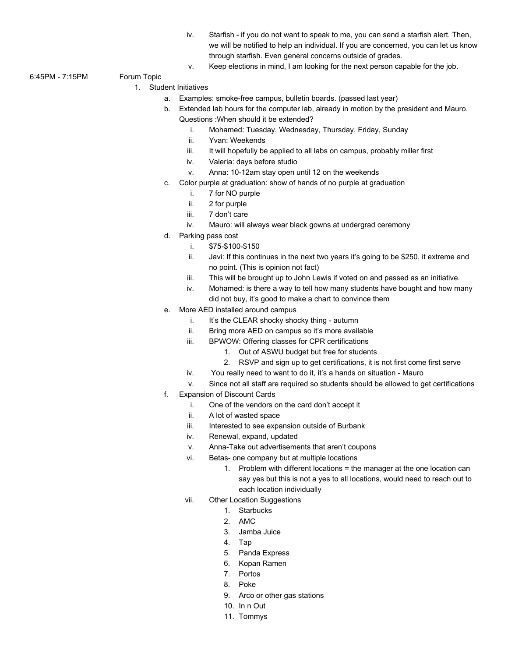- iv. Starfish if you do not want to speak to me, you can send a starfish alert. Then, we will be notified to help an individual. If you are concerned, you can let us know through starfish. Even general concerns outside of grades.
- v. Keep elections in mind, I am looking for the next person capable for the job.

## 6:45PM - 7:15PM Forum Topic

# 1. Student Initiatives

- a. Examples: smoke-free campus, bulletin boards. (passed last year)
- b. Extended lab hours for the computer lab, already in motion by the president and Mauro. Questions :When should it be extended?
	- i. Mohamed: Tuesday, Wednesday, Thursday, Friday, Sunday
	- ii. Yvan: Weekends
	- iii. It will hopefully be applied to all labs on campus, probably miller first
	- iv. Valeria: days before studio
	- v. Anna: 10-12am stay open until 12 on the weekends
- c. Color purple at graduation: show of hands of no purple at graduation
	- i. 7 for NO purple
	- ii. 2 for purple
	- iii. 7 don't care
	- iv. Mauro: will always wear black gowns at undergrad ceremony
- d. Parking pass cost
	- i. \$75-\$100-\$150
	- ii. Javi: If this continues in the next two years it's going to be \$250, it extreme and no point. (This is opinion not fact)
	- iii. This will be brought up to John Lewis if voted on and passed as an initiative.
	- iv. Mohamed: is there a way to tell how many students have bought and how many did not buy, it's good to make a chart to convince them
- e. More AED installed around campus
	- i. It's the CLEAR shocky shocky thing autumn
	- ii. Bring more AED on campus so it's more available
	- iii. BPWOW: Offering classes for CPR certifications
		- 1. Out of ASWU budget but free for students
		- 2. RSVP and sign up to get certifications, it is not first come first serve
	- iv. You really need to want to do it, it's a hands on situation Mauro
	- v. Since not all staff are required so students should be allowed to get certifications
- f. Expansion of Discount Cards
	- i. One of the vendors on the card don't accept it
	- ii. A lot of wasted space
	- iii. Interested to see expansion outside of Burbank
	- iv. Renewal, expand, updated
	- v. Anna-Take out advertisements that aren't coupons
	- vi. Betas- one company but at multiple locations
		- 1. Problem with different locations = the manager at the one location can say yes but this is not a yes to all locations, would need to reach out to each location individually
	- vii. Other Location Suggestions
		- 1. Starbucks
		- 2. AMC
		- 3. Jamba Juice
		- 4. Tap
		- 5. Panda Express
		- 6. Kopan Ramen
		- 7. Portos
		- 8. Poke
		- 9. Arco or other gas stations
		- 10. In n Out
		- 11. Tommys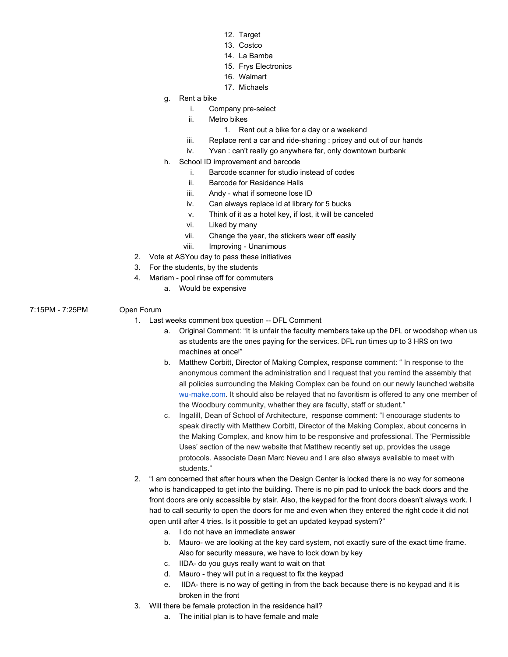- 12. Target
- 13. Costco
- 14. La Bamba
- 15. Frys Electronics
- 16. Walmart
- 17. Michaels
- g. Rent a bike
	- i. Company pre-select
	- ii. Metro bikes
		- 1. Rent out a bike for a day or a weekend
	- iii. Replace rent a car and ride-sharing : pricey and out of our hands
	- iv. Yvan : can't really go anywhere far, only downtown burbank
- h. School ID improvement and barcode
	- i. Barcode scanner for studio instead of codes
	- ii. Barcode for Residence Halls
	- iii. Andy what if someone lose ID
	- iv. Can always replace id at library for 5 bucks
	- v. Think of it as a hotel key, if lost, it will be canceled
	- vi. Liked by many
	- vii. Change the year, the stickers wear off easily
- viii. Improving Unanimous
- 2. Vote at ASYou day to pass these initiatives
- 3. For the students, by the students
- 4. Mariam pool rinse off for commuters
	- a. Would be expensive
- 7:15PM 7:25PM Open Forum

- 1. Last weeks comment box question -- DFL Comment
	- a. Original Comment: "It is unfair the faculty members take up the DFL or woodshop when us as students are the ones paying for the services. DFL run times up to 3 HRS on two machines at once!"
	- b. Matthew Corbitt, Director of Making Complex, response comment: " In response to the anonymous comment the administration and I request that you remind the assembly that all policies surrounding the Making Complex can be found on our newly launched website [wu-make.com](https://urldefense.proofpoint.com/v2/url?u=http-3A__wu-2Dmake.com&d=DwMFaQ&c=FEIxGwchUP6g6swm7ej51w&r=qAlZrr7h8W6SDkkmpVXZQNLj88K5UJGHzQbRhA9Qf_8&m=-dYQUd8S94ICbjjuEmmaPy-iqFMNVctI1imEGtDfe0A&s=bn8cKMcJb285Ei87XyIFE6qf1_dO5aYF4DVR_hjGGPE&e=). It should also be relayed that no favoritism is offered to any one member of the Woodbury community, whether they are faculty, staff or student."
	- c. Ingalill, Dean of School of Architecture, response comment: "I encourage students to speak directly with Matthew Corbitt, Director of the Making Complex, about concerns in the Making Complex, and know him to be responsive and professional. The 'Permissible Uses' section of the new website that Matthew recently set up, provides the usage protocols. Associate Dean Marc Neveu and I are also always available to meet with students."
- 2. "I am concerned that after hours when the Design Center is locked there is no way for someone who is handicapped to get into the building. There is no pin pad to unlock the back doors and the front doors are only accessible by stair. Also, the keypad for the front doors doesn't always work. I had to call security to open the doors for me and even when they entered the right code it did not open until after 4 tries. Is it possible to get an updated keypad system?"
	- a. I do not have an immediate answer
	- b. Mauro- we are looking at the key card system, not exactly sure of the exact time frame. Also for security measure, we have to lock down by key
	- c. IIDA- do you guys really want to wait on that
	- d. Mauro they will put in a request to fix the keypad
	- e. IIDA- there is no way of getting in from the back because there is no keypad and it is broken in the front
- 3. Will there be female protection in the residence hall?
	- a. The initial plan is to have female and male